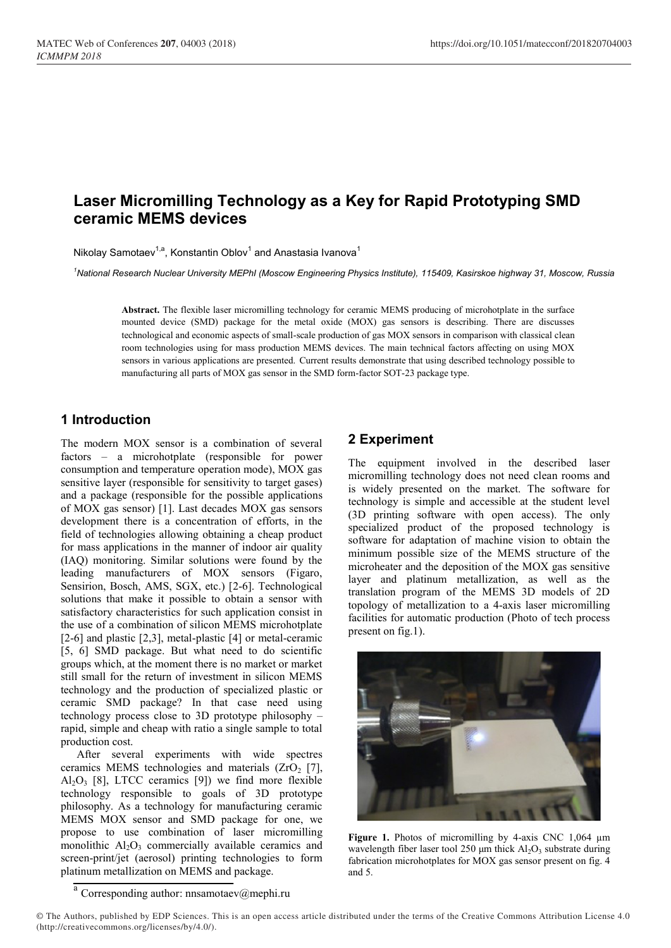# **Laser Micromilling Technology as a Key for Rapid Prototyping SMD ceramic MEMS devices**

Nikolay Samotaev<sup>1,a</sup>, Konstantin Oblov<sup>1</sup> and Anastasia Ivanova<sup>1</sup>

*<sup>1</sup>National Research Nuclear University MEPhI (Moscow Engineering Physics Institute), 115409, Kasirskoe highway 31, Moscow, Russia*

**Abstract.** The flexible laser micromilling technology for ceramic MEMS producing of microhotplate in the surface mounted device (SMD) package for the metal oxide (MOX) gas sensors is describing. There are discusses technological and economic aspects of small-scale production of gas MOX sensors in comparison with classical clean room technologies using for mass production MEMS devices. The main technical factors affecting on using MOX sensors in various applications are presented. Current results demonstrate that using described technology possible to manufacturing all parts of MOX gas sensor in the SMD form-factor SOT-23 package type.

# **1 Introduction**

The modern MOX sensor is a combination of several factors – a microhotplate (responsible for power consumption and temperature operation mode), MOX gas sensitive layer (responsible for sensitivity to target gases) and a package (responsible for the possible applications of MOX gas sensor) [1]. Last decades MOX gas sensors development there is a concentration of efforts, in the field of technologies allowing obtaining a cheap product for mass applications in the manner of indoor air quality (IAQ) monitoring. Similar solutions were found by the leading manufacturers of MOX sensors (Figaro, Sensirion, Bosch, AMS, SGX, etc.) [2-6]. Technological solutions that make it possible to obtain a sensor with satisfactory characteristics for such application consist in the use of a combination of silicon MEMS microhotplate [2-6] and plastic [2,3], metal-plastic [4] or metal-ceramic [5, 6] SMD package. But what need to do scientific groups which, at the moment there is no market or market still small for the return of investment in silicon MEMS technology and the production of specialized plastic or ceramic SMD package? In that case need using technology process close to 3D prototype philosophy – rapid, simple and cheap with ratio a single sample to total production cost.

After several experiments with wide spectres ceramics MEMS technologies and materials  $(ZrO<sub>2</sub> [7],$  $Al_2O_3$  [8], LTCC ceramics [9]) we find more flexible technology responsible to goals of 3D prototype philosophy. As a technology for manufacturing ceramic MEMS MOX sensor and SMD package for one, we propose to use combination of laser micromilling monolithic  $Al<sub>2</sub>O<sub>3</sub>$  commercially available ceramics and screen-print/jet (aerosol) printing technologies to form platinum metallization on MEMS and package.

# **2 Experiment**

The equipment involved in the described laser micromilling technology does not need clean rooms and is widely presented on the market. The software for technology is simple and accessible at the student level (3D printing software with open access). The only specialized product of the proposed technology is software for adaptation of machine vision to obtain the minimum possible size of the MEMS structure of the microheater and the deposition of the MOX gas sensitive layer and platinum metallization, as well as the translation program of the MEMS 3D models of 2D topology of metallization to a 4-axis laser micromilling facilities for automatic production (Photo of tech process present on fig.1).



**Figure 1.** Photos of micromilling by 4-axis CNC 1,064 µm wavelength fiber laser tool 250  $\mu$ m thick Al<sub>2</sub>O<sub>3</sub> substrate during fabrication microhotplates for MOX gas sensor present on fig. 4 and 5.

a<br>Corresponding author: nnsamotaev@mephi.ru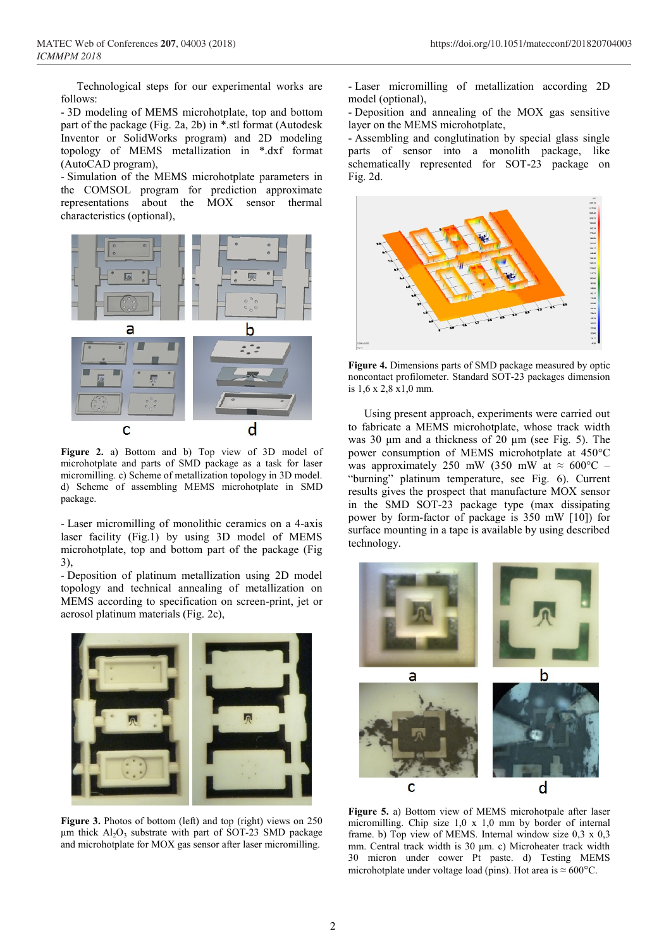Technological steps for our experimental works are follows:

- 3D modeling of MEMS microhotplate, top and bottom part of the package (Fig. 2a, 2b) in \*.stl format (Autodesk Inventor or SolidWorks program) and 2D modeling topology of MEMS metallization in \*.dxf format (AutoCAD program),

- Simulation of the MEMS microhotplate parameters in the COMSOL program for prediction approximate representations about the MOX sensor thermal characteristics (optional),



**Figure 2.** a) Bottom and b) Top view of 3D model of microhotplate and parts of SMD package as a task for laser micromilling. c) Scheme of metallization topology in 3D model. d) Scheme of assembling MEMS microhotplate in SMD package.

- Laser micromilling of monolithic ceramics on a 4-axis laser facility (Fig.1) by using 3D model of MEMS microhotplate, top and bottom part of the package (Fig 3),

- Deposition of platinum metallization using 2D model topology and technical annealing of metallization on MEMS according to specification on screen-print, jet or aerosol platinum materials (Fig. 2c),



**Figure 3.** Photos of bottom (left) and top (right) views on 250 μm thick  $Al_2O_3$  substrate with part of SOT-23 SMD package and microhotplate for MOX gas sensor after laser micromilling.

- Laser micromilling of metallization according 2D model (optional),

- Deposition and annealing of the MOX gas sensitive layer on the MEMS microhotplate,

- Assembling and conglutination by special glass single parts of sensor into a monolith package, like schematically represented for SOT-23 package on Fig. 2d.



**Figure 4.** Dimensions parts of SMD package measured by optic noncontact profilometer. Standard SOT-23 packages dimension is 1,6 x 2,8 x1,0 mm.

Using present approach, experiments were carried out to fabricate a MEMS microhotplate, whose track width was 30 μm and a thickness of 20 μm (see Fig. 5). The power consumption of MEMS microhotplate at 450°C was approximately 250 mW (350 mW at  $\approx 600^{\circ}$ C – "burning" platinum temperature, see Fig. 6). Current results gives the prospect that manufacture MOX sensor in the SMD SOT-23 package type (max dissipating power by form-factor of package is 350 mW [10]) for surface mounting in a tape is available by using described technology.



**Figure 5.** a) Bottom view of MEMS microhotpale after laser micromilling. Chip size 1,0 x 1,0 mm by border of internal frame. b) Top view of MEMS. Internal window size 0,3 x 0,3 mm. Central track width is 30 μm. c) Microheater track width 30 micron under cower Pt paste. d) Testing MEMS microhotplate under voltage load (pins). Hot area is  $\approx 600^{\circ}$ C.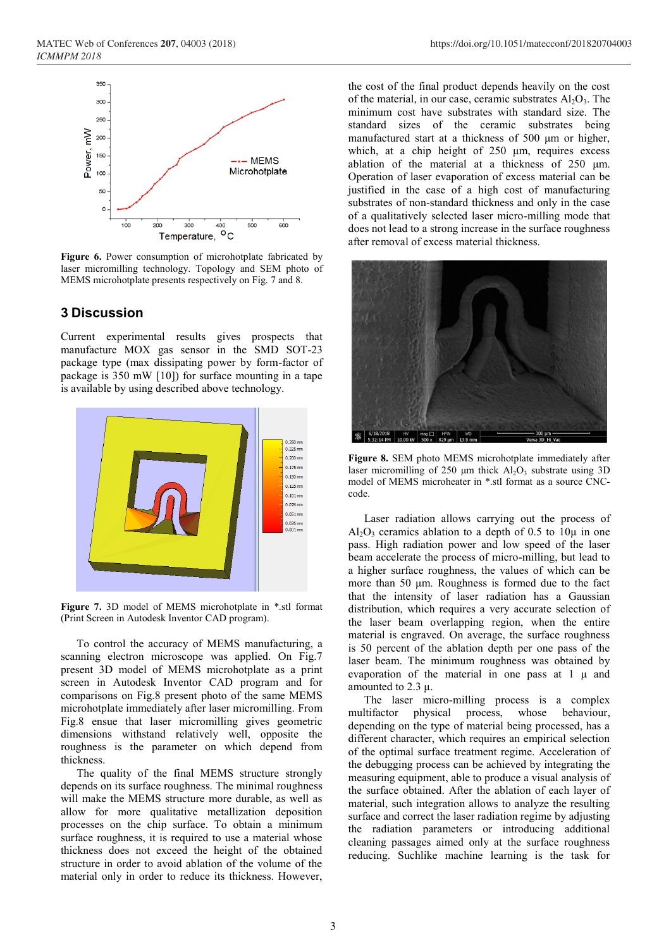

**Figure 6.** Power consumption of microhotplate fabricated by laser micromilling technology. Topology and SEM photo of MEMS microhotplate presents respectively on Fig. 7 and 8.

#### **3 Discussion**

Current experimental results gives prospects that manufacture MOX gas sensor in the SMD SOT-23 package type (max dissipating power by form-factor of package is 350 mW [10]) for surface mounting in a tape is available by using described above technology.



**Figure 7.** 3D model of MEMS microhotplate in \*.stl format (Print Screen in Autodesk Inventor CAD program).

To control the accuracy of MEMS manufacturing, a scanning electron microscope was applied. On Fig.7 present 3D model of MEMS microhotplate as a print screen in Autodesk Inventor CAD program and for comparisons on Fig.8 present photo of the same MEMS microhotplate immediately after laser micromilling. From Fig.8 ensue that laser micromilling gives geometric dimensions withstand relatively well, opposite the roughness is the parameter on which depend from thickness.

The quality of the final MEMS structure strongly depends on its surface roughness. The minimal roughness will make the MEMS structure more durable, as well as allow for more qualitative metallization deposition processes on the chip surface. To obtain a minimum surface roughness, it is required to use a material whose thickness does not exceed the height of the obtained structure in order to avoid ablation of the volume of the material only in order to reduce its thickness. However,

the cost of the final product depends heavily on the cost of the material, in our case, ceramic substrates  $Al_2O_3$ . The minimum cost have substrates with standard size. The standard sizes of the ceramic substrates being manufactured start at a thickness of 500 μm or higher, which, at a chip height of 250 μm, requires excess ablation of the material at a thickness of 250 μm. Operation of laser evaporation of excess material can be justified in the case of a high cost of manufacturing substrates of non-standard thickness and only in the case of a qualitatively selected laser micro-milling mode that does not lead to a strong increase in the surface roughness after removal of excess material thickness.



**Figure 8.** SEM photo MEMS microhotplate immediately after laser micromilling of 250 μm thick  $Al_2O_3$  substrate using 3D model of MEMS microheater in \*.stl format as a source CNCcode.

Laser radiation allows carrying out the process of  $Al_2O_3$  ceramics ablation to a depth of 0.5 to 10 $\mu$  in one pass. High radiation power and low speed of the laser beam accelerate the process of micro-milling, but lead to a higher surface roughness, the values of which can be more than 50 μm. Roughness is formed due to the fact that the intensity of laser radiation has a Gaussian distribution, which requires a very accurate selection of the laser beam overlapping region, when the entire material is engraved. On average, the surface roughness is 50 percent of the ablation depth per one pass of the laser beam. The minimum roughness was obtained by evaporation of the material in one pass at 1 μ and amounted to 2.3 μ.

The laser micro-milling process is a complex multifactor physical process, whose behaviour, depending on the type of material being processed, has a different character, which requires an empirical selection of the optimal surface treatment regime. Acceleration of the debugging process can be achieved by integrating the measuring equipment, able to produce a visual analysis of the surface obtained. After the ablation of each layer of material, such integration allows to analyze the resulting surface and correct the laser radiation regime by adjusting the radiation parameters or introducing additional cleaning passages aimed only at the surface roughness reducing. Suchlike machine learning is the task for